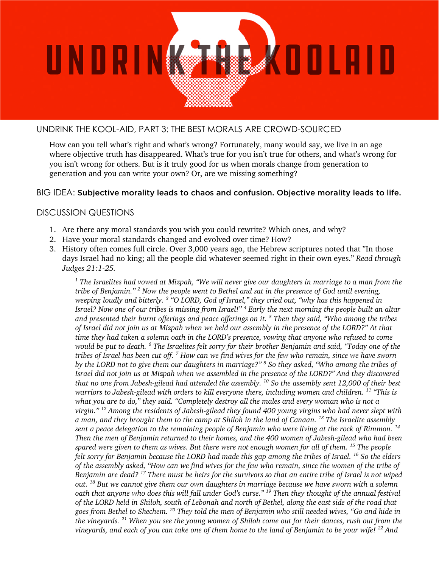

## UNDRINK THE KOOL-AID, PART 3: THE BEST MORALS ARE CROWD-SOURCED

How can you tell what's right and what's wrong? Fortunately, many would say, we live in an age where objective truth has disappeared. What's true for you isn't true for others, and what's wrong for you isn't wrong for others. But is it truly good for us when morals change from generation to generation and you can write your own? Or, are we missing something?

## BIG IDEA: Subjective morality leads to chaos and confusion. Objective morality leads to life.

## DISCUSSION QUESTIONS

- 1. Are there any moral standards you wish you could rewrite? Which ones, and why?
- 2. Have your moral standards changed and evolved over time? How?
- 3. History often comes full circle. Over 3,000 years ago, the Hebrew scriptures noted that "In those days Israel had no king; all the people did whatever seemed right in their own eyes." *Read through Judges 21:1-25.*

*<sup>1</sup> The Israelites had vowed at Mizpah, "We will never give our daughters in marriage to a man from the tribe of Benjamin." <sup>2</sup> Now the people went to Bethel and sat in the presence of God until evening, weeping loudly and bitterly. <sup>3</sup> "O LORD, God of Israel," they cried out, "why has this happened in Israel? Now one of our tribes is missing from Israel!" <sup>4</sup> Early the next morning the people built an altar and presented their burnt offerings and peace offerings on it. <sup>5</sup> Then they said, "Who among the tribes of Israel did not join us at Mizpah when we held our assembly in the presence of the LORD?" At that time they had taken a solemn oath in the LORD's presence, vowing that anyone who refused to come would be put to death. <sup>6</sup> The Israelites felt sorry for their brother Benjamin and said, "Today one of the tribes of Israel has been cut off. <sup>7</sup> How can we find wives for the few who remain, since we have sworn by the LORD not to give them our daughters in marriage?" <sup>8</sup> So they asked, "Who among the tribes of Israel did not join us at Mizpah when we assembled in the presence of the LORD?" And they discovered that no one from Jabesh-gilead had attended the assembly. <sup>10</sup> So the assembly sent 12,000 of their best warriors to Jabesh-gilead with orders to kill everyone there, including women and children. <sup>11</sup> "This is what you are to do," they said. "Completely destroy all the males and every woman who is not a virgin." <sup>12</sup> Among the residents of Jabesh-gilead they found 400 young virgins who had never slept with a man, and they brought them to the camp at Shiloh in the land of Canaan. <sup>13</sup> The Israelite assembly sent a peace delegation to the remaining people of Benjamin who were living at the rock of Rimmon. <sup>14</sup> Then the men of Benjamin returned to their homes, and the 400 women of Jabesh-gilead who had been spared were given to them as wives. But there were not enough women for all of them. <sup>15</sup> The people felt sorry for Benjamin because the LORD had made this gap among the tribes of Israel. <sup>16</sup> So the elders of the assembly asked, "How can we find wives for the few who remain, since the women of the tribe of Benjamin are dead? <sup>17</sup> There must be heirs for the survivors so that an entire tribe of Israel is not wiped out. <sup>18</sup> But we cannot give them our own daughters in marriage because we have sworn with a solemn oath that anyone who does this will fall under God's curse." <sup>19</sup> Then they thought of the annual festival of the LORD held in Shiloh, south of Lebonah and north of Bethel, along the east side of the road that goes from Bethel to Shechem. <sup>20</sup> They told the men of Benjamin who still needed wives, "Go and hide in the vineyards. <sup>21</sup> When you see the young women of Shiloh come out for their dances, rush out from the vineyards, and each of you can take one of them home to the land of Benjamin to be your wife! <sup>22</sup> And*